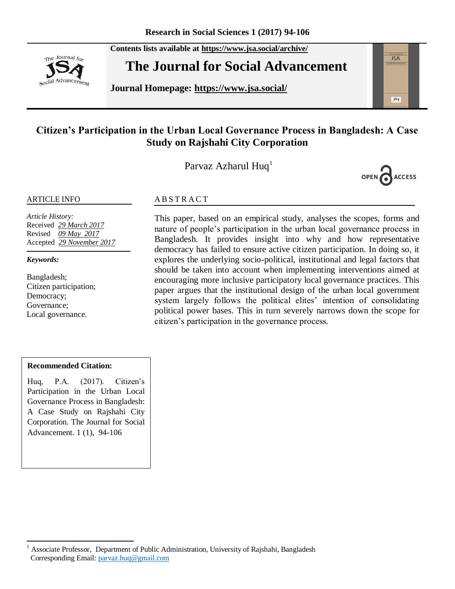The Journal for social Advancement **Contents lists available at <https://www.jsa.social/archive/>**

# **The Journal for Social Advancement**

**Journal Homepage: <https://www.jsa.social/>**



# **Citizen's Participation in the Urban Local Governance Process in Bangladesh: A Case Study on Rajshahi City Corporation**

Parvaz Azharul Huq<sup>1</sup>



#### ARTICLE INFO

*Article History:*  Received *29 March 2017* Revised *09 May 2017* Accepted *29 November 2017*

*Keywords:* 

Bangladesh; Citizen participation; Democracy; Governance; Local governance.

#### **ABSTRACT**

This paper, based on an empirical study, analyses the scopes, forms and nature of people's participation in the urban local governance process in Bangladesh. It provides insight into why and how representative democracy has failed to ensure active citizen participation. In doing so, it explores the underlying socio-political, institutional and legal factors that should be taken into account when implementing interventions aimed at encouraging more inclusive participatory local governance practices. This paper argues that the institutional design of the urban local government system largely follows the political elites' intention of consolidating political power bases. This in turn severely narrows down the scope for citizen's participation in the governance process.

#### **Recommended Citation:**

Huq, P.A. (2017). Citizen's Participation in the Urban Local Governance Process in Bangladesh: A Case Study on Rajshahi City Corporation. The Journal for Social Advancement. 1 (1), 94-106

 $\overline{a}$ <sup>1</sup> Associate Professor, Department of Public Administration, University of Rajshahi, Bangladesh Corresponding Email: [parvaz.huq@gmail.com](mailto:parvaz.huq@gmail.com)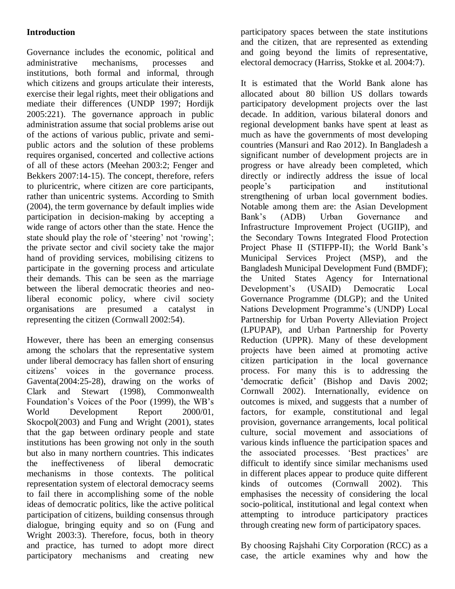### **Introduction**

Governance includes the economic, political and administrative mechanisms, processes and institutions, both formal and informal, through which citizens and groups articulate their interests, exercise their legal rights, meet their obligations and mediate their differences (UNDP 1997; Hordijk 2005:221). The governance approach in public administration assume that social problems arise out of the actions of various public, private and semipublic actors and the solution of these problems requires organised, concerted and collective actions of all of these actors (Meehan 2003:2; Fenger and Bekkers 2007:14-15). The concept, therefore, refers to pluricentric, where citizen are core participants, rather than unicentric systems. According to Smith (2004), the term governance by default implies wide participation in decision-making by accepting a wide range of actors other than the state. Hence the state should play the role of 'steering' not 'rowing'; the private sector and civil society take the major hand of providing services, mobilising citizens to participate in the governing process and articulate their demands. This can be seen as the marriage between the liberal democratic theories and neoliberal economic policy, where civil society organisations are presumed a catalyst in representing the citizen (Cornwall 2002:54).

However, there has been an emerging consensus among the scholars that the representative system under liberal democracy has fallen short of ensuring citizens' voices in the governance process. Gaventa(2004:25-28), drawing on the works of Clark and Stewart (1998), Commonwealth Foundation's Voices of the Poor (1999), the WB's World Development Report 2000/01, Skocpol(2003) and Fung and Wright (2001), states that the gap between ordinary people and state institutions has been growing not only in the south but also in many northern countries. This indicates the ineffectiveness of liberal democratic mechanisms in those contexts. The political representation system of electoral democracy seems to fail there in accomplishing some of the noble ideas of democratic politics, like the active political participation of citizens, building consensus through dialogue, bringing equity and so on (Fung and Wright 2003:3). Therefore, focus, both in theory and practice, has turned to adopt more direct participatory mechanisms and creating new

participatory spaces between the state institutions and the citizen, that are represented as extending and going beyond the limits of representative, electoral democracy (Harriss, Stokke et al. 2004:7).

It is estimated that the World Bank alone has allocated about 80 billion US dollars towards participatory development projects over the last decade. In addition, various bilateral donors and regional development banks have spent at least as much as have the governments of most developing countries (Mansuri and Rao 2012). In Bangladesh a significant number of development projects are in progress or have already been completed, which directly or indirectly address the issue of local people's participation and institutional strengthening of urban local government bodies. Notable among them are: the Asian Development Bank's (ADB) Urban Governance and Infrastructure Improvement Project (UGIIP), and the Secondary Towns Integrated Flood Protection Project Phase II (STIFPP-II); the World Bank's Municipal Services Project (MSP), and the Bangladesh Municipal Development Fund (BMDF); the United States Agency for International Development's (USAID) Democratic Local Governance Programme (DLGP); and the United Nations Development Programme's (UNDP) Local Partnership for Urban Poverty Alleviation Project (LPUPAP), and Urban Partnership for Poverty Reduction (UPPR). Many of these development projects have been aimed at promoting active citizen participation in the local governance process. For many this is to addressing the 'democratic deficit' (Bishop and Davis 2002; Cornwall 2002). Internationally, evidence on outcomes is mixed, and suggests that a number of factors, for example, constitutional and legal provision, governance arrangements, local political culture, social movement and associations of various kinds influence the participation spaces and the associated processes. 'Best practices' are difficult to identify since similar mechanisms used in different places appear to produce quite different kinds of outcomes (Cornwall 2002). This emphasises the necessity of considering the local socio-political, institutional and legal context when attempting to introduce participatory practices through creating new form of participatory spaces.

By choosing Rajshahi City Corporation (RCC) as a case, the article examines why and how the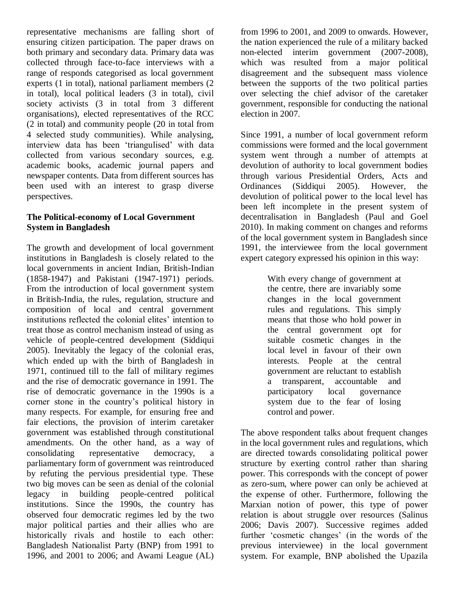representative mechanisms are falling short of ensuring citizen participation. The paper draws on both primary and secondary data. Primary data was collected through face-to-face interviews with a range of responds categorised as local government experts (1 in total), national parliament members (2 in total), local political leaders (3 in total), civil society activists (3 in total from 3 different organisations), elected representatives of the RCC (2 in total) and community people (20 in total from 4 selected study communities). While analysing, interview data has been 'triangulised' with data collected from various secondary sources, e.g. academic books, academic journal papers and newspaper contents. Data from different sources has been used with an interest to grasp diverse perspectives.

#### **The Political-economy of Local Government System in Bangladesh**

The growth and development of local government institutions in Bangladesh is closely related to the local governments in ancient Indian, British-Indian (1858-1947) and Pakistani (1947-1971) periods. From the introduction of local government system in British-India, the rules, regulation, structure and composition of local and central government institutions reflected the colonial elites' intention to treat those as control mechanism instead of using as vehicle of people-centred development (Siddiqui 2005). Inevitably the legacy of the colonial eras, which ended up with the birth of Bangladesh in 1971, continued till to the fall of military regimes and the rise of democratic governance in 1991. The rise of democratic governance in the 1990s is a corner stone in the country's political history in many respects. For example, for ensuring free and fair elections, the provision of interim caretaker government was established through constitutional amendments. On the other hand, as a way of consolidating representative democracy, a parliamentary form of government was reintroduced by refuting the pervious presidential type. These two big moves can be seen as denial of the colonial legacy in building people-centred political institutions. Since the 1990s, the country has observed four democratic regimes led by the two major political parties and their allies who are historically rivals and hostile to each other: Bangladesh Nationalist Party (BNP) from 1991 to 1996, and 2001 to 2006; and Awami League (AL)

from 1996 to 2001, and 2009 to onwards. However, the nation experienced the rule of a military backed non-elected interim government (2007-2008), which was resulted from a major political disagreement and the subsequent mass violence between the supports of the two political parties over selecting the chief advisor of the caretaker government, responsible for conducting the national election in 2007.

Since 1991, a number of local government reform commissions were formed and the local government system went through a number of attempts at devolution of authority to local government bodies through various Presidential Orders, Acts and Ordinances (Siddiqui 2005). However, the devolution of political power to the local level has been left incomplete in the present system of decentralisation in Bangladesh (Paul and Goel 2010). In making comment on changes and reforms of the local government system in Bangladesh since 1991, the interviewee from the local government expert category expressed his opinion in this way:

> With every change of government at the centre, there are invariably some changes in the local government rules and regulations. This simply means that those who hold power in the central government opt for suitable cosmetic changes in the local level in favour of their own interests. People at the central government are reluctant to establish a transparent, accountable and participatory local governance system due to the fear of losing control and power.

The above respondent talks about frequent changes in the local government rules and regulations, which are directed towards consolidating political power structure by exerting control rather than sharing power. This corresponds with the concept of power as zero-sum, where power can only be achieved at the expense of other. Furthermore, following the Marxian notion of power, this type of power relation is about struggle over resources (Salinus 2006; Davis 2007). Successive regimes added further 'cosmetic changes' (in the words of the previous interviewee) in the local government system. For example, BNP abolished the Upazila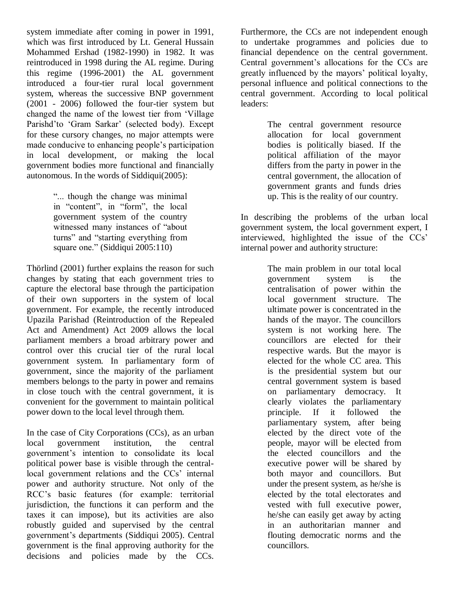system immediate after coming in power in 1991, which was first introduced by Lt. General Hussain Mohammed Ershad (1982-1990) in 1982. It was reintroduced in 1998 during the AL regime. During this regime (1996-2001) the AL government introduced a four-tier rural local government system, whereas the successive BNP government (2001 - 2006) followed the four-tier system but changed the name of the lowest tier from 'Village' Parishd'to 'Gram Sarkar' (selected body). Except for these cursory changes, no major attempts were made conducive to enhancing people's participation in local development, or making the local government bodies more functional and financially autonomous. In the words of Siddiqui(2005):

> ―... though the change was minimal in "content", in "form", the local government system of the country witnessed many instances of "about turns" and "starting everything from square one." (Siddiqui 2005:110)

Thörlind (2001) further explains the reason for such changes by stating that each government tries to capture the electoral base through the participation of their own supporters in the system of local government. For example, the recently introduced Upazila Parishad (Reintroduction of the Repealed Act and Amendment) Act 2009 allows the local parliament members a broad arbitrary power and control over this crucial tier of the rural local government system. In parliamentary form of government, since the majority of the parliament members belongs to the party in power and remains in close touch with the central government, it is convenient for the government to maintain political power down to the local level through them.

In the case of City Corporations (CCs), as an urban local government institution, the central government's intention to consolidate its local political power base is visible through the centrallocal government relations and the CCs' internal power and authority structure. Not only of the RCC's basic features (for example: territorial jurisdiction, the functions it can perform and the taxes it can impose), but its activities are also robustly guided and supervised by the central government's departments (Siddiqui 2005). Central government is the final approving authority for the decisions and policies made by the CCs.

Furthermore, the CCs are not independent enough to undertake programmes and policies due to financial dependence on the central government. Central government's allocations for the CCs are greatly influenced by the mayors' political loyalty, personal influence and political connections to the central government. According to local political leaders:

> The central government resource allocation for local government bodies is politically biased. If the political affiliation of the mayor differs from the party in power in the central government, the allocation of government grants and funds dries up. This is the reality of our country.

In describing the problems of the urban local government system, the local government expert, I interviewed, highlighted the issue of the CCs' internal power and authority structure:

> The main problem in our total local government system is the centralisation of power within the local government structure. The ultimate power is concentrated in the hands of the mayor. The councillors system is not working here. The councillors are elected for their respective wards. But the mayor is elected for the whole CC area. This is the presidential system but our central government system is based on parliamentary democracy. It clearly violates the parliamentary principle. If it followed the parliamentary system, after being elected by the direct vote of the people, mayor will be elected from the elected councillors and the executive power will be shared by both mayor and councillors. But under the present system, as he/she is elected by the total electorates and vested with full executive power, he/she can easily get away by acting in an authoritarian manner and flouting democratic norms and the councillors.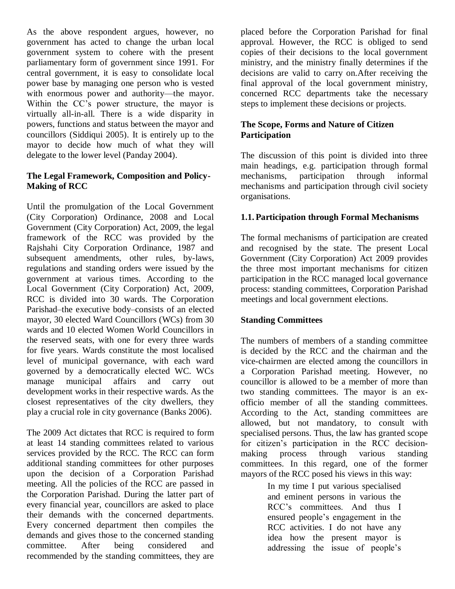As the above respondent argues, however, no government has acted to change the urban local government system to cohere with the present parliamentary form of government since 1991. For central government, it is easy to consolidate local power base by managing one person who is vested with enormous power and authority—the mayor. Within the CC's power structure, the mayor is virtually all-in-all. There is a wide disparity in powers, functions and status between the mayor and councillors (Siddiqui 2005). It is entirely up to the mayor to decide how much of what they will delegate to the lower level (Panday 2004).

#### **The Legal Framework, Composition and Policy-Making of RCC**

Until the promulgation of the Local Government (City Corporation) Ordinance, 2008 and Local Government (City Corporation) Act, 2009, the legal framework of the RCC was provided by the Rajshahi City Corporation Ordinance, 1987 and subsequent amendments, other rules, by-laws, regulations and standing orders were issued by the government at various times. According to the Local Government (City Corporation) Act, 2009, RCC is divided into 30 wards. The Corporation Parishad–the executive body–consists of an elected mayor, 30 elected Ward Councillors (WCs) from 30 wards and 10 elected Women World Councillors in the reserved seats, with one for every three wards for five years. Wards constitute the most localised level of municipal governance, with each ward governed by a democratically elected WC. WCs manage municipal affairs and carry out development works in their respective wards. As the closest representatives of the city dwellers, they play a crucial role in city governance (Banks 2006).

The 2009 Act dictates that RCC is required to form at least 14 standing committees related to various services provided by the RCC. The RCC can form additional standing committees for other purposes upon the decision of a Corporation Parishad meeting. All the policies of the RCC are passed in the Corporation Parishad. During the latter part of every financial year, councillors are asked to place their demands with the concerned departments. Every concerned department then compiles the demands and gives those to the concerned standing committee. After being considered and recommended by the standing committees, they are

placed before the Corporation Parishad for final approval. However, the RCC is obliged to send copies of their decisions to the local government ministry, and the ministry finally determines if the decisions are valid to carry on.After receiving the final approval of the local government ministry, concerned RCC departments take the necessary steps to implement these decisions or projects.

#### **The Scope, Forms and Nature of Citizen Participation**

The discussion of this point is divided into three main headings, e.g. participation through formal mechanisms, participation through informal mechanisms and participation through civil society organisations.

#### **1.1. Participation through Formal Mechanisms**

The formal mechanisms of participation are created and recognised by the state. The present Local Government (City Corporation) Act 2009 provides the three most important mechanisms for citizen participation in the RCC managed local governance process: standing committees, Corporation Parishad meetings and local government elections.

#### **Standing Committees**

The numbers of members of a standing committee is decided by the RCC and the chairman and the vice-chairmen are elected among the councillors in a Corporation Parishad meeting. However, no councillor is allowed to be a member of more than two standing committees. The mayor is an exofficio member of all the standing committees. According to the Act, standing committees are allowed, but not mandatory, to consult with specialised persons. Thus, the law has granted scope for citizen's participation in the RCC decisionmaking process through various standing committees. In this regard, one of the former mayors of the RCC posed his views in this way:

> In my time I put various specialised and eminent persons in various the RCC's committees. And thus I ensured people's engagement in the RCC activities. I do not have any idea how the present mayor is addressing the issue of people's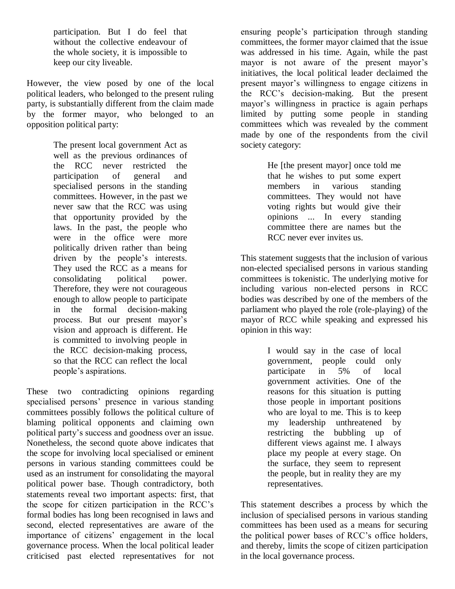participation. But I do feel that without the collective endeavour of the whole society, it is impossible to keep our city liveable.

However, the view posed by one of the local political leaders, who belonged to the present ruling party, is substantially different from the claim made by the former mayor, who belonged to an opposition political party:

> The present local government Act as well as the previous ordinances of the RCC never restricted the participation of general and specialised persons in the standing committees. However, in the past we never saw that the RCC was using that opportunity provided by the laws. In the past, the people who were in the office were more politically driven rather than being driven by the people's interests. They used the RCC as a means for consolidating political power. Therefore, they were not courageous enough to allow people to participate in the formal decision-making process. But our present mayor's vision and approach is different. He is committed to involving people in the RCC decision-making process, so that the RCC can reflect the local people's aspirations.

These two contradicting opinions regarding specialised persons' presence in various standing committees possibly follows the political culture of blaming political opponents and claiming own political party's success and goodness over an issue. Nonetheless, the second quote above indicates that the scope for involving local specialised or eminent persons in various standing committees could be used as an instrument for consolidating the mayoral political power base. Though contradictory, both statements reveal two important aspects: first, that the scope for citizen participation in the RCC's formal bodies has long been recognised in laws and second, elected representatives are aware of the importance of citizens' engagement in the local governance process. When the local political leader criticised past elected representatives for not ensuring people's participation through standing committees, the former mayor claimed that the issue was addressed in his time. Again, while the past mayor is not aware of the present mayor's initiatives, the local political leader declaimed the present mayor's willingness to engage citizens in the RCC's decision-making. But the present mayor's willingness in practice is again perhaps limited by putting some people in standing committees which was revealed by the comment made by one of the respondents from the civil society category:

> He [the present mayor] once told me that he wishes to put some expert members in various standing committees. They would not have voting rights but would give their opinions ... In every standing committee there are names but the RCC never ever invites us.

This statement suggests that the inclusion of various non-elected specialised persons in various standing committees is tokenistic. The underlying motive for including various non-elected persons in RCC bodies was described by one of the members of the parliament who played the role (role-playing) of the mayor of RCC while speaking and expressed his opinion in this way:

> I would say in the case of local government, people could only participate in 5% of local government activities. One of the reasons for this situation is putting those people in important positions who are loyal to me. This is to keep my leadership unthreatened by restricting the bubbling up of different views against me. I always place my people at every stage. On the surface, they seem to represent the people, but in reality they are my representatives.

This statement describes a process by which the inclusion of specialised persons in various standing committees has been used as a means for securing the political power bases of RCC's office holders, and thereby, limits the scope of citizen participation in the local governance process.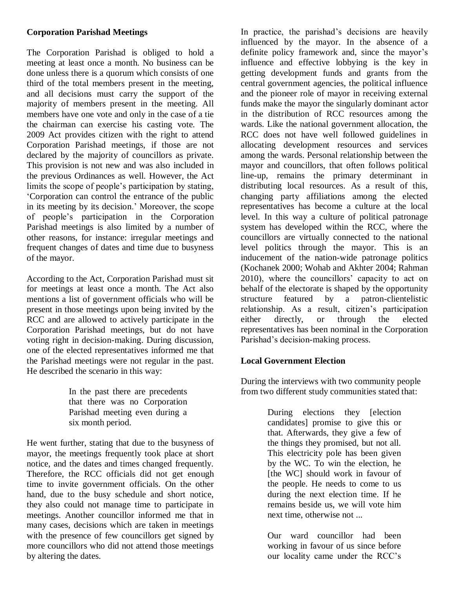#### **Corporation Parishad Meetings**

The Corporation Parishad is obliged to hold a meeting at least once a month. No business can be done unless there is a quorum which consists of one third of the total members present in the meeting, and all decisions must carry the support of the majority of members present in the meeting. All members have one vote and only in the case of a tie the chairman can exercise his casting vote. The 2009 Act provides citizen with the right to attend Corporation Parishad meetings, if those are not declared by the majority of councillors as private. This provision is not new and was also included in the previous Ordinances as well. However, the Act limits the scope of people's participation by stating, ‗Corporation can control the entrance of the public in its meeting by its decision.' Moreover, the scope of people's participation in the Corporation Parishad meetings is also limited by a number of other reasons, for instance: irregular meetings and frequent changes of dates and time due to busyness of the mayor.

According to the Act, Corporation Parishad must sit for meetings at least once a month. The Act also mentions a list of government officials who will be present in those meetings upon being invited by the RCC and are allowed to actively participate in the Corporation Parishad meetings, but do not have voting right in decision-making. During discussion, one of the elected representatives informed me that the Parishad meetings were not regular in the past. He described the scenario in this way:

> In the past there are precedents that there was no Corporation Parishad meeting even during a six month period.

He went further, stating that due to the busyness of mayor, the meetings frequently took place at short notice, and the dates and times changed frequently. Therefore, the RCC officials did not get enough time to invite government officials. On the other hand, due to the busy schedule and short notice, they also could not manage time to participate in meetings. Another councillor informed me that in many cases, decisions which are taken in meetings with the presence of few councillors get signed by more councillors who did not attend those meetings by altering the dates.

In practice, the parishad's decisions are heavily influenced by the mayor. In the absence of a definite policy framework and, since the mayor's influence and effective lobbying is the key in getting development funds and grants from the central government agencies, the political influence and the pioneer role of mayor in receiving external funds make the mayor the singularly dominant actor in the distribution of RCC resources among the wards. Like the national government allocation, the RCC does not have well followed guidelines in allocating development resources and services among the wards. Personal relationship between the mayor and councillors, that often follows political line-up, remains the primary determinant in distributing local resources. As a result of this, changing party affiliations among the elected representatives has become a culture at the local level. In this way a culture of political patronage system has developed within the RCC, where the councillors are virtually connected to the national level politics through the mayor. This is an inducement of the nation-wide patronage politics (Kochanek 2000; Wohab and Akhter 2004; Rahman 2010), where the councillors' capacity to act on behalf of the electorate is shaped by the opportunity structure featured by a patron-clientelistic relationship. As a result, citizen's participation either directly, or through the elected representatives has been nominal in the Corporation Parishad's decision-making process.

## **Local Government Election**

During the interviews with two community people from two different study communities stated that:

> During elections they [election candidates] promise to give this or that. Afterwards, they give a few of the things they promised, but not all. This electricity pole has been given by the WC. To win the election, he [the WC] should work in favour of the people. He needs to come to us during the next election time. If he remains beside us, we will vote him next time, otherwise not ...

> Our ward councillor had been working in favour of us since before our locality came under the RCC's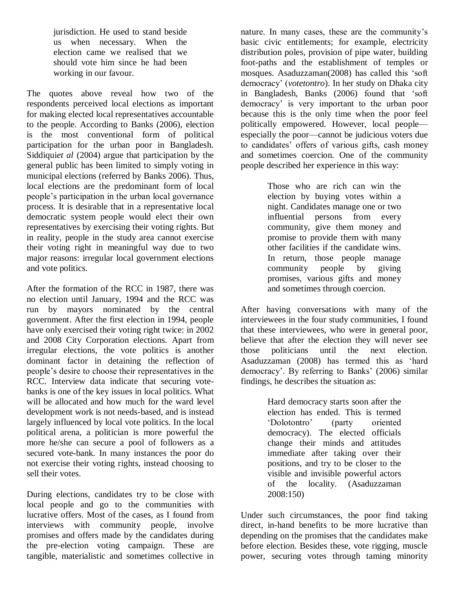jurisdiction. He used to stand beside us when necessary. When the election came we realised that we should vote him since he had been working in our favour.

The quotes above reveal how two of the respondents perceived local elections as important for making elected local representatives accountable to the people. According to Banks (2006), election is the most conventional form of political participation for the urban poor in Bangladesh. Siddiqui*et al* (2004) argue that participation by the general public has been limited to simply voting in municipal elections (referred by Banks 2006). Thus, local elections are the predominant form of local people's participation in the urban local governance process. It is desirable that in a representative local democratic system people would elect their own representatives by exercising their voting rights. But in reality, people in the study area cannot exercise their voting right in meaningful way due to two major reasons: irregular local government elections and vote politics.

After the formation of the RCC in 1987, there was no election until January, 1994 and the RCC was run by mayors nominated by the central government. After the first election in 1994, people have only exercised their voting right twice: in 2002 and 2008 City Corporation elections. Apart from irregular elections, the vote politics is another dominant factor in detaining the reflection of people's desire to choose their representatives in the RCC. Interview data indicate that securing votebanks is one of the key issues in local politics. What will be allocated and how much for the ward level development work is not needs-based, and is instead largely influenced by local vote politics. In the local political arena, a politician is more powerful the more he/she can secure a pool of followers as a secured vote-bank. In many instances the poor do not exercise their voting rights, instead choosing to sell their votes.

During elections, candidates try to be close with local people and go to the communities with lucrative offers. Most of the cases, as I found from interviews with community people, involve promises and offers made by the candidates during the pre-election voting campaign. These are tangible, materialistic and sometimes collective in nature. In many cases, these are the community's basic civic entitlements; for example, electricity distribution poles, provision of pipe water, building foot-paths and the establishment of temples or mosques. Asaduzzaman(2008) has called this 'soft democracy' (*votetontro*). In her study on Dhaka city in Bangladesh, Banks (2006) found that 'soft democracy' is very important to the urban poor because this is the only time when the poor feel politically empowered. However, local people especially the poor—cannot be judicious voters due to candidates' offers of various gifts, cash money and sometimes coercion. One of the community people described her experience in this way:

> Those who are rich can win the election by buying votes within a night. Candidates manage one or two influential persons from every community, give them money and promise to provide them with many other facilities if the candidate wins. In return, those people manage community people by giving promises, various gifts and money and sometimes through coercion.

After having conversations with many of the interviewees in the four study communities, I found that these interviewees, who were in general poor, believe that after the election they will never see those politicians until the next election. Asaduzzaman (2008) has termed this as 'hard democracy'. By referring to Banks' (2006) similar findings, he describes the situation as:

> Hard democracy starts soon after the election has ended. This is termed ‗Dolotontro' (party oriented democracy). The elected officials change their minds and attitudes immediate after taking over their positions, and try to be closer to the visible and invisible powerful actors of the locality. (Asaduzzaman 2008:150)

Under such circumstances, the poor find taking direct, in-hand benefits to be more lucrative than depending on the promises that the candidates make before election. Besides these, vote rigging, muscle power, securing votes through taming minority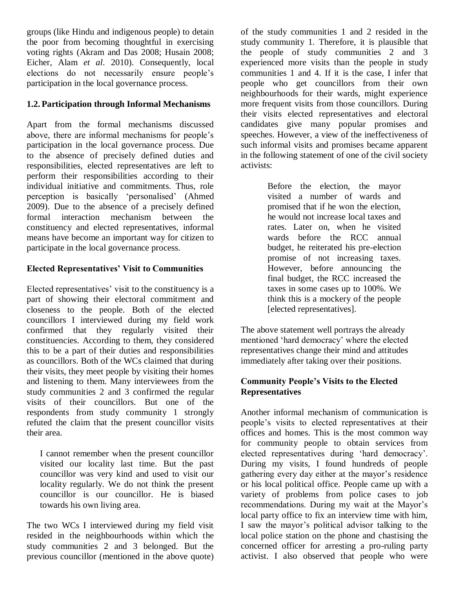groups (like Hindu and indigenous people) to detain the poor from becoming thoughtful in exercising voting rights (Akram and Das 2008; Husain 2008; Eicher, Alam *et al*. 2010). Consequently, local elections do not necessarily ensure people's participation in the local governance process.

#### **1.2. Participation through Informal Mechanisms**

Apart from the formal mechanisms discussed above, there are informal mechanisms for people's participation in the local governance process. Due to the absence of precisely defined duties and responsibilities, elected representatives are left to perform their responsibilities according to their individual initiative and commitments. Thus, role perception is basically 'personalised' (Ahmed 2009). Due to the absence of a precisely defined formal interaction mechanism between the constituency and elected representatives, informal means have become an important way for citizen to participate in the local governance process.

#### **Elected Representatives' Visit to Communities**

Elected representatives' visit to the constituency is a part of showing their electoral commitment and closeness to the people. Both of the elected councillors I interviewed during my field work confirmed that they regularly visited their constituencies. According to them, they considered this to be a part of their duties and responsibilities as councillors. Both of the WCs claimed that during their visits, they meet people by visiting their homes and listening to them. Many interviewees from the study communities 2 and 3 confirmed the regular visits of their councillors. But one of the respondents from study community 1 strongly refuted the claim that the present councillor visits their area.

I cannot remember when the present councillor visited our locality last time. But the past councillor was very kind and used to visit our locality regularly. We do not think the present councillor is our councillor. He is biased towards his own living area.

The two WCs I interviewed during my field visit resided in the neighbourhoods within which the study communities 2 and 3 belonged. But the previous councillor (mentioned in the above quote) of the study communities 1 and 2 resided in the study community 1. Therefore, it is plausible that the people of study communities 2 and 3 experienced more visits than the people in study communities 1 and 4. If it is the case, I infer that people who get councillors from their own neighbourhoods for their wards, might experience more frequent visits from those councillors. During their visits elected representatives and electoral candidates give many popular promises and speeches. However, a view of the ineffectiveness of such informal visits and promises became apparent in the following statement of one of the civil society activists:

> Before the election, the mayor visited a number of wards and promised that if he won the election, he would not increase local taxes and rates. Later on, when he visited wards before the RCC annual budget, he reiterated his pre-election promise of not increasing taxes. However, before announcing the final budget, the RCC increased the taxes in some cases up to 100%. We think this is a mockery of the people [elected representatives].

The above statement well portrays the already mentioned 'hard democracy' where the elected representatives change their mind and attitudes immediately after taking over their positions.

#### **Community People's Visits to the Elected Representatives**

Another informal mechanism of communication is people's visits to elected representatives at their offices and homes. This is the most common way for community people to obtain services from elected representatives during 'hard democracy'. During my visits, I found hundreds of people gathering every day either at the mayor's residence or his local political office. People came up with a variety of problems from police cases to job recommendations. During my wait at the Mayor's local party office to fix an interview time with him, I saw the mayor's political advisor talking to the local police station on the phone and chastising the concerned officer for arresting a pro-ruling party activist. I also observed that people who were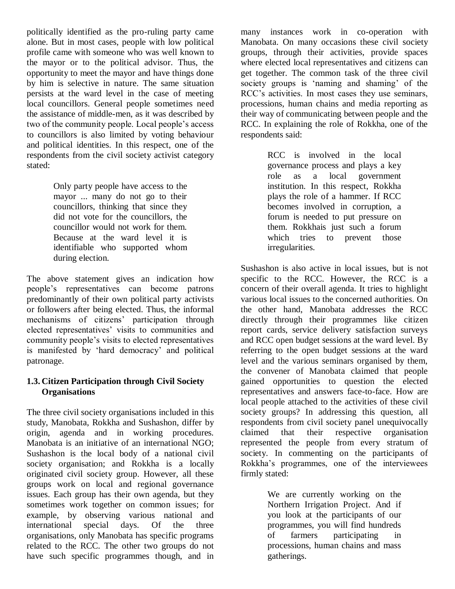politically identified as the pro-ruling party came alone. But in most cases, people with low political profile came with someone who was well known to the mayor or to the political advisor. Thus, the opportunity to meet the mayor and have things done by him is selective in nature. The same situation persists at the ward level in the case of meeting local councillors. General people sometimes need the assistance of middle-men, as it was described by two of the community people. Local people's access to councillors is also limited by voting behaviour and political identities. In this respect, one of the respondents from the civil society activist category stated:

> Only party people have access to the mayor ... many do not go to their councillors, thinking that since they did not vote for the councillors, the councillor would not work for them. Because at the ward level it is identifiable who supported whom during election.

The above statement gives an indication how people's representatives can become patrons predominantly of their own political party activists or followers after being elected. Thus, the informal mechanisms of citizens' participation through elected representatives' visits to communities and community people's visits to elected representatives is manifested by 'hard democracy' and political patronage.

#### **1.3. Citizen Participation through Civil Society Organisations**

The three civil society organisations included in this study, Manobata, Rokkha and Sushashon, differ by origin, agenda and in working procedures. Manobata is an initiative of an international NGO; Sushashon is the local body of a national civil society organisation; and Rokkha is a locally originated civil society group. However, all these groups work on local and regional governance issues. Each group has their own agenda, but they sometimes work together on common issues; for example, by observing various national and international special days. Of the three organisations, only Manobata has specific programs related to the RCC. The other two groups do not have such specific programmes though, and in

many instances work in co-operation with Manobata. On many occasions these civil society groups, through their activities, provide spaces where elected local representatives and citizens can get together. The common task of the three civil society groups is 'naming and shaming' of the RCC's activities. In most cases they use seminars, processions, human chains and media reporting as their way of communicating between people and the RCC. In explaining the role of Rokkha, one of the respondents said:

> RCC is involved in the local governance process and plays a key role as a local government institution. In this respect, Rokkha plays the role of a hammer. If RCC becomes involved in corruption, a forum is needed to put pressure on them. Rokkhais just such a forum which tries to prevent those irregularities.

Sushashon is also active in local issues, but is not specific to the RCC. However, the RCC is a concern of their overall agenda. It tries to highlight various local issues to the concerned authorities. On the other hand, Manobata addresses the RCC directly through their programmes like citizen report cards, service delivery satisfaction surveys and RCC open budget sessions at the ward level. By referring to the open budget sessions at the ward level and the various seminars organised by them, the convener of Manobata claimed that people gained opportunities to question the elected representatives and answers face-to-face. How are local people attached to the activities of these civil society groups? In addressing this question, all respondents from civil society panel unequivocally claimed that their respective organisation represented the people from every stratum of society. In commenting on the participants of Rokkha's programmes, one of the interviewees firmly stated:

> We are currently working on the Northern Irrigation Project. And if you look at the participants of our programmes, you will find hundreds of farmers participating in processions, human chains and mass gatherings.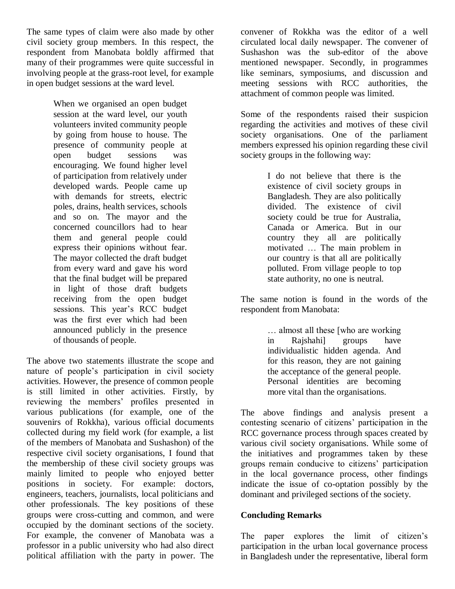The same types of claim were also made by other civil society group members. In this respect, the respondent from Manobata boldly affirmed that many of their programmes were quite successful in involving people at the grass-root level, for example in open budget sessions at the ward level.

> When we organised an open budget session at the ward level, our youth volunteers invited community people by going from house to house. The presence of community people at open budget sessions was encouraging. We found higher level of participation from relatively under developed wards. People came up with demands for streets, electric poles, drains, health services, schools and so on. The mayor and the concerned councillors had to hear them and general people could express their opinions without fear. The mayor collected the draft budget from every ward and gave his word that the final budget will be prepared in light of those draft budgets receiving from the open budget sessions. This year's RCC budget was the first ever which had been announced publicly in the presence of thousands of people.

The above two statements illustrate the scope and nature of people's participation in civil society activities. However, the presence of common people is still limited in other activities. Firstly, by reviewing the members' profiles presented in various publications (for example, one of the souvenirs of Rokkha), various official documents collected during my field work (for example, a list of the members of Manobata and Sushashon) of the respective civil society organisations, I found that the membership of these civil society groups was mainly limited to people who enjoyed better positions in society. For example: doctors, engineers, teachers, journalists, local politicians and other professionals. The key positions of these groups were cross-cutting and common, and were occupied by the dominant sections of the society. For example, the convener of Manobata was a professor in a public university who had also direct political affiliation with the party in power. The

convener of Rokkha was the editor of a well circulated local daily newspaper. The convener of Sushashon was the sub-editor of the above mentioned newspaper. Secondly, in programmes like seminars, symposiums, and discussion and meeting sessions with RCC authorities, the attachment of common people was limited.

Some of the respondents raised their suspicion regarding the activities and motives of these civil society organisations. One of the parliament members expressed his opinion regarding these civil society groups in the following way:

> I do not believe that there is the existence of civil society groups in Bangladesh. They are also politically divided. The existence of civil society could be true for Australia, Canada or America. But in our country they all are politically motivated … The main problem in our country is that all are politically polluted. From village people to top state authority, no one is neutral.

The same notion is found in the words of the respondent from Manobata:

> … almost all these [who are working in Rajshahi] groups have individualistic hidden agenda. And for this reason, they are not gaining the acceptance of the general people. Personal identities are becoming more vital than the organisations.

The above findings and analysis present a contesting scenario of citizens' participation in the RCC governance process through spaces created by various civil society organisations. While some of the initiatives and programmes taken by these groups remain conducive to citizens' participation in the local governance process, other findings indicate the issue of co-optation possibly by the dominant and privileged sections of the society.

#### **Concluding Remarks**

The paper explores the limit of citizen's participation in the urban local governance process in Bangladesh under the representative, liberal form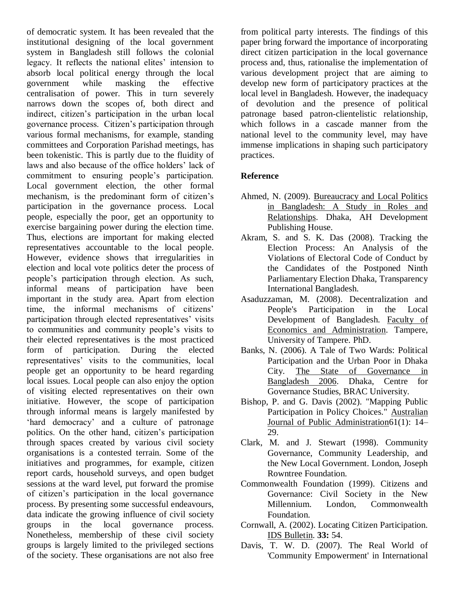of democratic system. It has been revealed that the institutional designing of the local government system in Bangladesh still follows the colonial legacy. It reflects the national elites' intension to absorb local political energy through the local government while masking the effective centralisation of power. This in turn severely narrows down the scopes of, both direct and indirect, citizen's participation in the urban local governance process. Citizen's participation through various formal mechanisms, for example, standing committees and Corporation Parishad meetings, has been tokenistic. This is partly due to the fluidity of laws and also because of the office holders' lack of commitment to ensuring people's participation. Local government election, the other formal mechanism, is the predominant form of citizen's participation in the governance process. Local people, especially the poor, get an opportunity to exercise bargaining power during the election time. Thus, elections are important for making elected representatives accountable to the local people. However, evidence shows that irregularities in election and local vote politics deter the process of people's participation through election. As such, informal means of participation have been important in the study area. Apart from election time, the informal mechanisms of citizens' participation through elected representatives' visits to communities and community people's visits to their elected representatives is the most practiced form of participation. During the elected representatives' visits to the communities, local people get an opportunity to be heard regarding local issues. Local people can also enjoy the option of visiting elected representatives on their own initiative. However, the scope of participation through informal means is largely manifested by ‗hard democracy' and a culture of patronage politics. On the other hand, citizen's participation through spaces created by various civil society organisations is a contested terrain. Some of the initiatives and programmes, for example, citizen report cards, household surveys, and open budget sessions at the ward level, put forward the promise of citizen's participation in the local governance process. By presenting some successful endeavours, data indicate the growing influence of civil society groups in the local governance process. Nonetheless, membership of these civil society groups is largely limited to the privileged sections of the society. These organisations are not also free

from political party interests. The findings of this paper bring forward the importance of incorporating direct citizen participation in the local governance process and, thus, rationalise the implementation of various development project that are aiming to develop new form of participatory practices at the local level in Bangladesh. However, the inadequacy of devolution and the presence of political patronage based patron-clientelistic relationship, which follows in a cascade manner from the national level to the community level, may have immense implications in shaping such participatory practices.

#### **Reference**

- Ahmed, N. (2009). Bureaucracy and Local Politics in Bangladesh: A Study in Roles and Relationships. Dhaka, AH Development Publishing House.
- Akram, S. and S. K. Das (2008). Tracking the Election Process: An Analysis of the Violations of Electoral Code of Conduct by the Candidates of the Postponed Ninth Parliamentary Election Dhaka, Transparency International Bangladesh.
- Asaduzzaman, M. (2008). Decentralization and People's Participation in the Local Development of Bangladesh. Faculty of Economics and Administration. Tampere, University of Tampere. PhD.
- Banks, N. (2006). A Tale of Two Wards: Political Participation and the Urban Poor in Dhaka City. The State of Governance in Bangladesh 2006. Dhaka, Centre for Governance Studies, BRAC University.
- Bishop, P. and G. Davis (2002). "Mapping Public Participation in Policy Choices." Australian Journal of Public Administration61(1): 14– 29.
- Clark, M. and J. Stewart (1998). Community Governance, Community Leadership, and the New Local Government. London, Joseph Rowntree Foundation.
- Commonwealth Foundation (1999). Citizens and Governance: Civil Society in the New Millennium. London, Commonwealth Foundation.
- Cornwall, A. (2002). Locating Citizen Participation. IDS Bulletin. **33:** 54.
- Davis, T. W. D. (2007). The Real World of 'Community Empowerment' in International